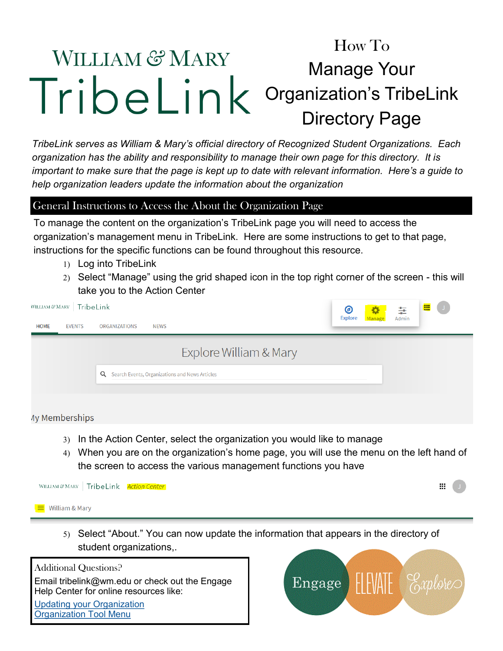## How To WILLIAM & MARY Manage Your TribeLink Organization's TribeLink Directory Page

*TribeLink serves as William & Mary's official directory of Recognized Student Organizations. Each organization has the ability and responsibility to manage their own page for this directory. It is important to make sure that the page is kept up to date with relevant information. Here's a guide to help organization leaders update the information about the organization* 

## General Instructions to Access the About the Organization Page

To manage the content on the organization's TribeLink page you will need to access the organization's management menu in TribeLink. Here are some instructions to get to that page, instructions for the specific functions can be found throughout this resource.

- Log into TribeLink
- Select "Manage" using the grid shaped icon in the top right corner of the screen this will take you to the Action Center

| WILLIAM & MARY   TribeLink   |                                                         | 噩<br>$\cup$<br>◉<br>\$<br>93      |
|------------------------------|---------------------------------------------------------|-----------------------------------|
| <b>EVENTS</b><br><b>HOME</b> | <b>ORGANIZATIONS</b><br><b>NEWS</b>                     | <b>Explore</b><br>Manage<br>Admin |
|                              | Explore William & Mary                                  |                                   |
|                              | <b>Q</b> Search Events, Organizations and News Articles |                                   |
| <b>Ay Memberships</b>        |                                                         |                                   |

- In the Action Center, select the organization you would like to manage
- When you are on the organization's home page, you will use the menu on the left hand of the screen to access the various management functions you have



 Select "About." You can now update the information that appears in the directory of student organizations,.

Additional Questions? Email tribelink@wm.edu or check out the Engage Help Center for online resources like: [Updating your Organization](https://engagesupport.campuslabs.com/hc/en-us/articles/204033564C:/Users/jaleung/Documents/2014%20Awards%20Chair) [Organization Tool Menu](https://engagesupport.campuslabs.com/hc/en-us/sections/200722534-Organization-Tool-MenuC:/Users/jaleung/Documents/2014%20Awards%20Chair)